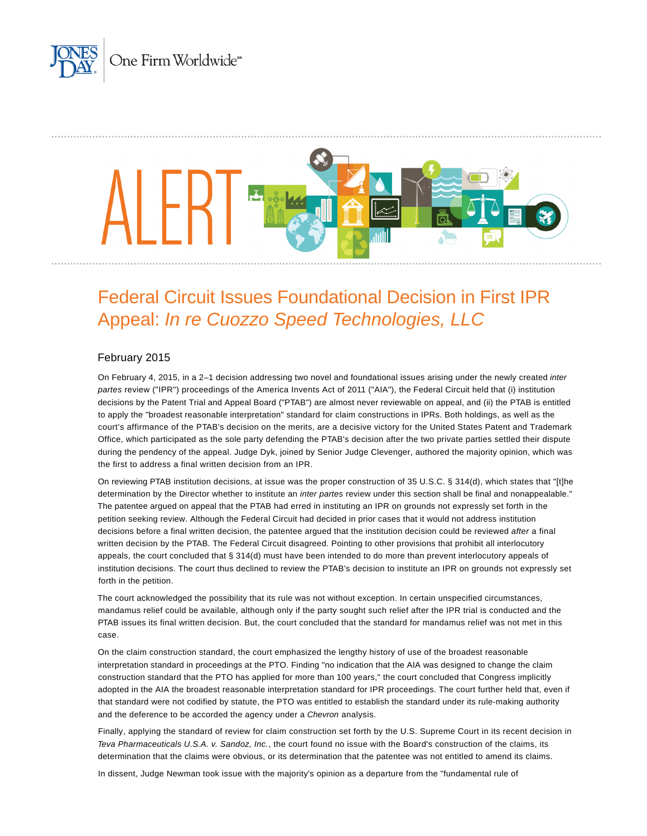



# Federal Circuit Issues Foundational Decision in First IPR Appeal: In re Cuozzo Speed Technologies, LLC

## February 2015

On February 4, 2015, in a 2-1 decision addressing two novel and foundational issues arising under the newly created inter partes review ("IPR") proceedings of the America Invents Act of 2011 ("AIA"), the Federal Circuit held that (i) institution decisions by the Patent Trial and Appeal Board ("PTAB") are almost never reviewable on appeal, and (ii) the PTAB is entitled to apply the "broadest reasonable interpretation" standard for claim constructions in IPRs. Both holdings, as well as the court's affirmance of the PTAB's decision on the merits, are a decisive victory for the United States Patent and Trademark Office, which participated as the sole party defending the PTAB's decision after the two private parties settled their dispute during the pendency of the appeal. Judge Dyk, joined by Senior Judge Clevenger, authored the majority opinion, which was the first to address a final written decision from an IPR.

On reviewing PTAB institution decisions, at issue was the proper construction of 35 U.S.C. § 314(d), which states that "[t]he determination by the Director whether to institute an inter partes review under this section shall be final and nonappealable." The patentee argued on appeal that the PTAB had erred in instituting an IPR on grounds not expressly set forth in the petition seeking review. Although the Federal Circuit had decided in prior cases that it would not address institution decisions before a final written decision, the patentee argued that the institution decision could be reviewed after a final written decision by the PTAB. The Federal Circuit disagreed. Pointing to other provisions that prohibit all interlocutory appeals, the court concluded that § 314(d) must have been intended to do more than prevent interlocutory appeals of institution decisions. The court thus declined to review the PTAB's decision to institute an IPR on grounds not expressly set forth in the petition.

The court acknowledged the possibility that its rule was not without exception. In certain unspecified circumstances, mandamus relief could be available, although only if the party sought such relief after the IPR trial is conducted and the PTAB issues its final written decision. But, the court concluded that the standard for mandamus relief was not met in this case.

On the claim construction standard, the court emphasized the lengthy history of use of the broadest reasonable interpretation standard in proceedings at the PTO. Finding "no indication that the AIA was designed to change the claim construction standard that the PTO has applied for more than 100 years," the court concluded that Congress implicitly adopted in the AIA the broadest reasonable interpretation standard for IPR proceedings. The court further held that, even if that standard were not codified by statute, the PTO was entitled to establish the standard under its rule-making authority and the deference to be accorded the agency under a Chevron analysis.

Finally, applying the standard of review for claim construction set forth by the U.S. Supreme Court in its recent decision in Teva Pharmaceuticals U.S.A. v. Sandoz, Inc., the court found no issue with the Board's construction of the claims, its determination that the claims were obvious, or its determination that the patentee was not entitled to amend its claims.

In dissent, Judge Newman took issue with the majority's opinion as a departure from the "fundamental rule of